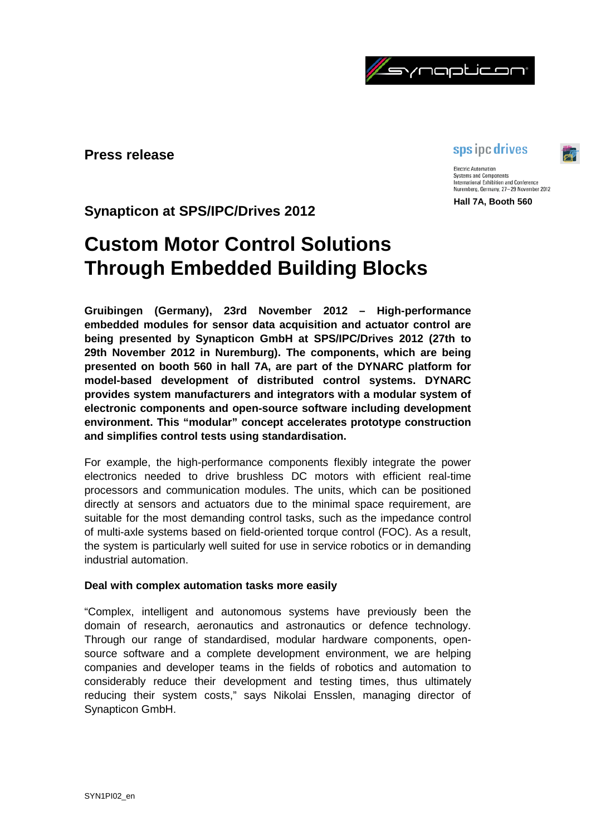

**Press release**

# sps ipc drives

**Electric Automation Systems and Components** International Exhibition and Conference Nuremberg, Germany, 27-29 November 2012

**Hall 7A, Booth 560**

**Synapticon at SPS/IPC/Drives 2012**

# **Custom Motor Control Solutions Through Embedded Building Blocks**

**Gruibingen (Germany), 23rd November 2012 – High-performance embedded modules for sensor data acquisition and actuator control are being presented by Synapticon GmbH at SPS/IPC/Drives 2012 (27th to 29th November 2012 in Nuremburg). The components, which are being presented on booth 560 in hall 7A, are part of the DYNARC platform for model-based development of distributed control systems. DYNARC provides system manufacturers and integrators with a modular system of electronic components and open-source software including development environment. This "modular" concept accelerates prototype construction and simplifies control tests using standardisation.**

For example, the high-performance components flexibly integrate the power electronics needed to drive brushless DC motors with efficient real-time processors and communication modules. The units, which can be positioned directly at sensors and actuators due to the minimal space requirement, are suitable for the most demanding control tasks, such as the impedance control of multi-axle systems based on field-oriented torque control (FOC). As a result, the system is particularly well suited for use in service robotics or in demanding industrial automation.

# **Deal with complex automation tasks more easily**

"Complex, intelligent and autonomous systems have previously been the domain of research, aeronautics and astronautics or defence technology. Through our range of standardised, modular hardware components, opensource software and a complete development environment, we are helping companies and developer teams in the fields of robotics and automation to considerably reduce their development and testing times, thus ultimately reducing their system costs," says Nikolai Ensslen, managing director of Synapticon GmbH.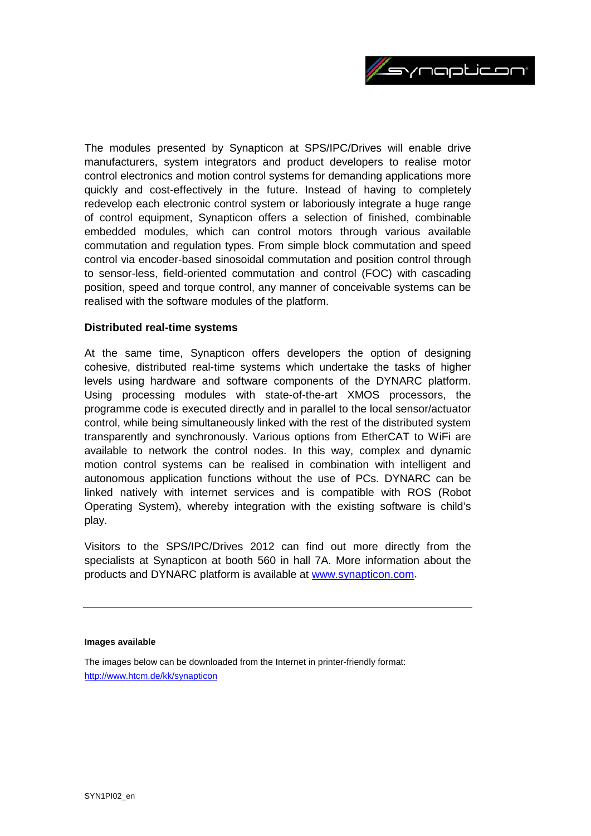

The modules presented by Synapticon at SPS/IPC/Drives will enable drive manufacturers, system integrators and product developers to realise motor control electronics and motion control systems for demanding applications more quickly and cost-effectively in the future. Instead of having to completely redevelop each electronic control system or laboriously integrate a huge range of control equipment, Synapticon offers a selection of finished, combinable embedded modules, which can control motors through various available commutation and regulation types. From simple block commutation and speed control via encoder-based sinosoidal commutation and position control through to sensor-less, field-oriented commutation and control (FOC) with cascading position, speed and torque control, any manner of conceivable systems can be realised with the software modules of the platform.

## **Distributed real-time systems**

At the same time, Synapticon offers developers the option of designing cohesive, distributed real-time systems which undertake the tasks of higher levels using hardware and software components of the DYNARC platform. Using processing modules with state-of-the-art XMOS processors, the programme code is executed directly and in parallel to the local sensor/actuator control, while being simultaneously linked with the rest of the distributed system transparently and synchronously. Various options from EtherCAT to WiFi are available to network the control nodes. In this way, complex and dynamic motion control systems can be realised in combination with intelligent and autonomous application functions without the use of PCs. DYNARC can be linked natively with internet services and is compatible with ROS (Robot Operating System), whereby integration with the existing software is child's play.

Visitors to the SPS/IPC/Drives 2012 can find out more directly from the specialists at Synapticon at booth 560 in hall 7A. More information about the products and DYNARC platform is available at [www.synapticon.com.](http://www.synapticon.com/)

#### **Images available**

The images below can be downloaded from the Internet in printer-friendly format: <http://www.htcm.de/kk/synapticon>